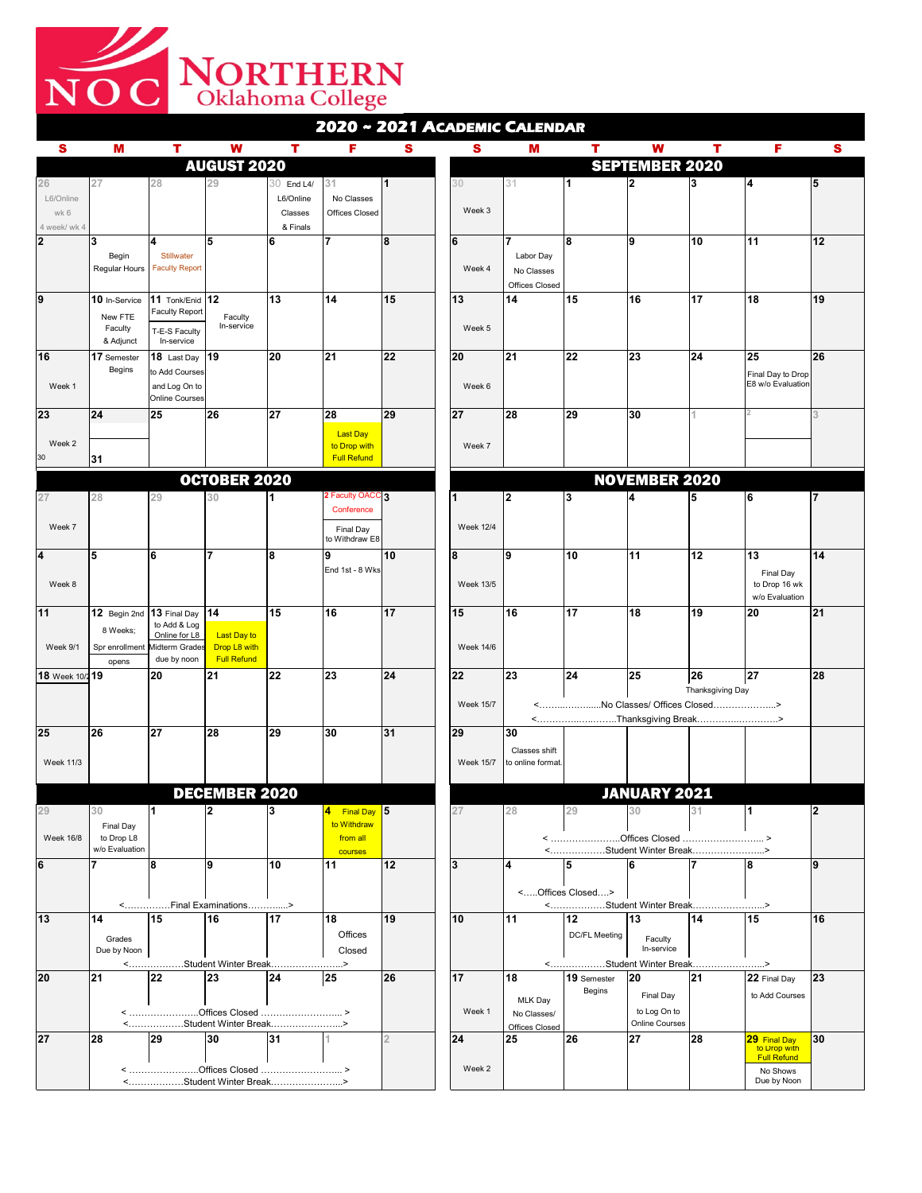| S                | M                             |                                                | W                                      |                 | F                                       | S        | S                | M                                        |                                        | W                     |                  | F                                             | S  |
|------------------|-------------------------------|------------------------------------------------|----------------------------------------|-----------------|-----------------------------------------|----------|------------------|------------------------------------------|----------------------------------------|-----------------------|------------------|-----------------------------------------------|----|
|                  |                               |                                                | <b>AUGUST 2020</b>                     |                 |                                         |          |                  | <b>SEPTEMBER 2020</b>                    |                                        |                       |                  |                                               |    |
| 26               | 27                            | 28                                             | 29                                     | $30$ End L4/    | 31                                      |          | 30               | 31                                       |                                        |                       |                  | $\overline{\mathbf{4}}$                       | 15 |
| L6/Online        |                               |                                                |                                        | L6/Online       | No Classes                              |          |                  |                                          |                                        |                       |                  |                                               |    |
| wk 6             |                               |                                                |                                        | <b>Classes</b>  | <b>Offices Closed</b>                   |          | Week 3           |                                          |                                        |                       |                  |                                               |    |
| 4 week/ wk 4     |                               |                                                |                                        | & Finals        |                                         |          |                  |                                          |                                        |                       |                  |                                               |    |
| $ 2\rangle$      | 3                             | 4                                              | $5\phantom{1}$                         | <b>6</b>        |                                         | <b>8</b> | 6                |                                          | 8                                      | <u> 19</u>            | 10               | 11                                            | 12 |
|                  | Begin<br><b>Regular Hours</b> | <b>Stillwater</b><br><b>Faculty Report</b>     |                                        |                 |                                         |          | Week 4           | Labor Day<br>No Classes                  |                                        |                       |                  |                                               |    |
|                  |                               |                                                |                                        |                 |                                         |          |                  | <b>Offices Closed</b>                    |                                        |                       |                  |                                               |    |
| 9                | $10$ In-Service               | 11 Tonk/Enid $ 12 $                            |                                        | 13              | 14                                      | 15       | 13               | 14                                       | 15                                     | 16                    | 17               | 18                                            | 19 |
|                  | New FTE                       | <b>Faculty Report</b>                          | Faculty                                |                 |                                         |          |                  |                                          |                                        |                       |                  |                                               |    |
|                  | Faculty                       | T-E-S Faculty                                  | In-service                             |                 |                                         |          | Week 5           |                                          |                                        |                       |                  |                                               |    |
|                  | & Adjunct                     | In-service                                     |                                        |                 |                                         |          |                  |                                          |                                        |                       |                  |                                               |    |
| 16               | 17 Semester                   | 18 Last Day $ 19 $                             |                                        | 20              | 21                                      | 22       | 20               | 21                                       | 22                                     | 23                    | 24               | 25                                            | 26 |
|                  | <b>Begins</b>                 | to Add Courses                                 |                                        |                 |                                         |          |                  |                                          |                                        |                       |                  | <b>Final Day to Drop</b><br>E8 w/o Evaluation |    |
| Week 1           |                               | and Log On to<br><b>Online Courses</b>         |                                        |                 |                                         |          | Week 6           |                                          |                                        |                       |                  |                                               |    |
| 23               | 24                            | 25                                             | 26                                     | 27              | 28                                      | 29       | 27               | 28                                       | 29                                     | 30                    |                  |                                               |    |
|                  |                               |                                                |                                        |                 | <b>Last Day</b>                         |          |                  |                                          |                                        |                       |                  |                                               |    |
| Week 2           |                               |                                                |                                        |                 | to Drop with                            |          | Week 7           |                                          |                                        |                       |                  |                                               |    |
| 30               | 31                            |                                                |                                        |                 | <b>Full Refund</b>                      |          |                  |                                          |                                        |                       |                  |                                               |    |
|                  |                               |                                                | <b>OCTOBER 2020</b>                    |                 |                                         |          |                  |                                          |                                        | <b>NOVEMBER 2020</b>  |                  |                                               |    |
| 27               | 28                            | 29                                             | 30                                     |                 | 2 Faculty OACC 3                        |          |                  | 2                                        | $\boldsymbol{3}$                       | 4                     |                  | 6                                             |    |
|                  |                               |                                                |                                        |                 | Conference                              |          |                  |                                          |                                        |                       |                  |                                               |    |
| Week 7           |                               |                                                |                                        |                 | <b>Final Day</b>                        |          | <b>Week 12/4</b> |                                          |                                        |                       |                  |                                               |    |
|                  |                               |                                                |                                        |                 | to Withdraw E8                          |          |                  |                                          |                                        |                       |                  |                                               |    |
| 4                | 5                             | 6                                              |                                        | 8               | 9                                       | 10       | 8                | 19                                       | 10                                     | 11                    | $\boxed{12}$     | 13                                            | 14 |
|                  |                               |                                                |                                        |                 | End 1st - 8 Wks                         |          |                  |                                          |                                        |                       |                  | <b>Final Day</b>                              |    |
| Week 8           |                               |                                                |                                        |                 |                                         |          | <b>Week 13/5</b> |                                          |                                        |                       |                  | to Drop 16 wk<br>w/o Evaluation               |    |
| 11               | $ 12 \t{$ Begin 2nd $ $       | 13 Final Day $ 14 $                            |                                        | 15              | 16                                      | 17       | 15               | 16                                       | $\overline{17}$                        | 18                    | 19               | 20                                            | 21 |
|                  | 8 Weeks;                      | to Add & Log                                   |                                        |                 |                                         |          |                  |                                          |                                        |                       |                  |                                               |    |
| Week 9/1         |                               | Online for L8<br>Spr enrollment Midterm Grades | <b>Last Day to</b><br>Drop L8 with     |                 |                                         |          | <b>Week 14/6</b> |                                          |                                        |                       |                  |                                               |    |
|                  | opens                         | due by noon                                    | <b>Full Refund</b>                     |                 |                                         |          |                  |                                          |                                        |                       |                  |                                               |    |
| 18 Week 10/219   |                               | 20                                             | 21                                     | 22              | 23                                      | 24       | 22               | 23                                       | 24                                     | 25                    | 26               | 27                                            | 28 |
|                  |                               |                                                |                                        |                 |                                         |          |                  |                                          |                                        |                       | Thanksgiving Day |                                               |    |
|                  |                               |                                                |                                        |                 |                                         |          | <b>Week 15/7</b> | No Classes/ Offices Closed><br>$\langle$ |                                        |                       |                  |                                               |    |
|                  |                               |                                                |                                        |                 |                                         |          |                  |                                          | <thanksgiving break=""></thanksgiving> |                       |                  |                                               |    |
| 25               | <b>26</b>                     | 27                                             | <b>28</b>                              | $ 29\rangle$    | 30                                      | 31       | 29               | $ 30\rangle$                             |                                        |                       |                  |                                               |    |
| <b>Week 11/3</b> |                               |                                                |                                        |                 |                                         |          | <b>Week 15/7</b> | <b>Classes shift</b><br>to online format |                                        |                       |                  |                                               |    |
|                  |                               |                                                |                                        |                 |                                         |          |                  |                                          |                                        |                       |                  |                                               |    |
|                  |                               |                                                | <b>DECEMBER 2020</b>                   |                 |                                         |          |                  |                                          |                                        | <b>JANUARY 2021</b>   |                  |                                               |    |
|                  | 30                            |                                                | $\mathbf{2}$                           |                 | Final Day 5<br>$\vert \mathbf{4} \vert$ |          | 27               | 28                                       | 29                                     | 30                    | 31               |                                               |    |
|                  | <b>Final Day</b>              |                                                |                                        |                 | to Withdraw                             |          |                  |                                          |                                        |                       |                  |                                               |    |
| <b>Week 16/8</b> | to Drop L8                    |                                                |                                        |                 | from all                                |          |                  |                                          |                                        |                       |                  |                                               |    |
| 6                | w/o Evaluation                |                                                | <u>g</u>                               | 10              | courses<br> 11                          | 12       | $\overline{3}$   | 14                                       | <student break="" winter=""></student> |                       |                  | 8                                             | 19 |
|                  |                               |                                                |                                        |                 |                                         |          |                  |                                          |                                        |                       |                  |                                               |    |
|                  |                               |                                                |                                        |                 |                                         |          |                  |                                          | <offices closed=""></offices>          |                       |                  |                                               |    |
|                  |                               |                                                | <final examinations=""></final>        |                 |                                         |          |                  |                                          | <student break="" winter=""></student> |                       |                  |                                               |    |
| $ 13\rangle$     | 14                            | 15                                             | 16                                     | $\overline{17}$ | 18                                      | 19       | 10               | 11                                       | 12                                     | 13                    | 14               | 15                                            | 16 |
|                  | Grades                        |                                                |                                        |                 | <b>Offices</b>                          |          |                  |                                          | <b>DC/FL Meeting</b>                   | Faculty               |                  |                                               |    |
|                  | Due by Noon                   |                                                | <student break="" winter=""></student> |                 | Closed                                  |          |                  |                                          | <student break="" winter=""></student> | In-service            |                  |                                               |    |
| <b>20</b>        | 21                            | <b>22</b>                                      | 23                                     | 24              | 25                                      | 26       | 17               | 18                                       | 19 Semester                            | <b>20</b>             | 21               | $ 22$ Final Day                               | 23 |
|                  |                               |                                                |                                        |                 |                                         |          |                  |                                          | <b>Begins</b>                          | <b>Final Day</b>      |                  | to Add Courses                                |    |
|                  |                               |                                                |                                        |                 |                                         |          | Week 1           | MLK Day<br>No Classes/                   |                                        | to Log On to          |                  |                                               |    |
|                  |                               |                                                | <student break="" winter=""></student> |                 |                                         |          |                  | <b>Offices Closed</b>                    |                                        | <b>Online Courses</b> |                  |                                               |    |
| 27               | <b>28</b>                     | 29                                             | 30                                     | 31              |                                         |          | 24               | 25                                       | 26                                     | 27                    | 28               | 29 Final Day                                  | 30 |
|                  |                               |                                                |                                        |                 |                                         |          |                  |                                          |                                        |                       |                  | to Drop with<br><b>Full Refund</b>            |    |
|                  | $\prec$                       |                                                |                                        |                 |                                         |          | Week 2           |                                          |                                        |                       |                  | No Shows                                      |    |
|                  |                               | $\langle$                                      | .Student Winter Break>                 |                 |                                         |          |                  |                                          |                                        |                       |                  | Due by Noon                                   |    |



## **2020 ~ 2021 ACADEMIC CALENDAR**